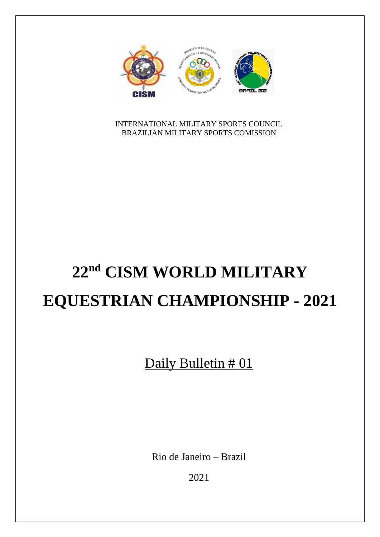

INTERNATIONAL MILITARY SPORTS COUNCIL BRAZILIAN MILITARY SPORTS COMISSION

# **22 nd CISM WORLD MILITARY EQUESTRIAN CHAMPIONSHIP - 2021**

Daily Bulletin # 01

Rio de Janeiro – Brazil

2021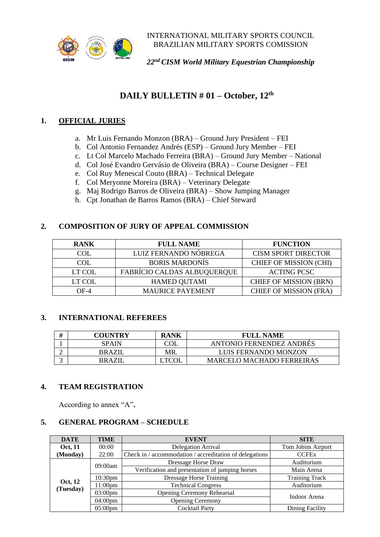

INTERNATIONAL MILITARY SPORTS COUNCIL BRAZILIAN MILITARY SPORTS COMISSION

*22 nd CISM World Military Equestrian Championship*

### **DAILY BULLETIN # 01 – October, 12th**

#### **1. OFFICIAL JURIES**

- a. Mr Luis Fernando Monzon (BRA) Ground Jury President FEI
- b. Col Antonio Fernandez Andrés (ESP) Ground Jury Member FEI
- c. Lt Col Marcelo Machado Ferreira (BRA) Ground Jury Member National
- d. Col José Evandro Gervásio de Oliveira (BRA) Course Designer FEI
- e. Col Ruy Menescal Couto (BRA) Technical Delegate
- f. Col Meryonne Moreira (BRA) Veterinary Delegate
- g. Maj Rodrigo Barros de Oliveira (BRA) Show Jumping Manager
- h. Cpt Jonathan de Barros Ramos (BRA) Chief Steward

#### **2. COMPOSITION OF JURY OF APPEAL COMMISSION**

| <b>RANK</b> | <b>FULL NAME</b>            | <b>FUNCTION</b>               |  |
|-------------|-----------------------------|-------------------------------|--|
| COL         | LUIZ FERNANDO NÓBREGA       | <b>CISM SPORT DIRECTOR</b>    |  |
| COL         | <b>BORIS MARDONÍS</b>       | <b>CHIEF OF MISSION (CHI)</b> |  |
| LT COL      | FABRÍCIO CALDAS ALBUQUERQUE | <b>ACTING PCSC</b>            |  |
| LT COL      | <b>HAMED QUTAMI</b>         | <b>CHIEF OF MISSION (BRN)</b> |  |
| $OF-4$      | <b>MAURICE PAYEMENT</b>     | <b>CHIEF OF MISSION (FRA)</b> |  |

#### **3. INTERNATIONAL REFEREES**

|   | <b>COUNTRY</b> | <b>RANK</b> | <b>FULL NAME</b>                 |
|---|----------------|-------------|----------------------------------|
|   | <b>SPAIN</b>   |             | <b>ANTONIO FERNENDEZ ANDRES</b>  |
| ∸ | <b>BRAZII</b>  | MR          | LUIS FERNANDO MONZON             |
|   | <b>BRAZII</b>  |             | <b>MARCELO MACHADO FERREIRAS</b> |

#### **4. TEAM REGISTRATION**

According to annex "A"**.**

#### **5. GENERAL PROGRAM – SCHEDULE**

| <b>DATE</b>          | <b>TIME</b><br><b>EVENT</b> |                                                         | <b>SITE</b>            |  |
|----------------------|-----------------------------|---------------------------------------------------------|------------------------|--|
| Oct, 11              | 00:00                       | <b>Delegation Arrival</b>                               | Tom Jobim Airport      |  |
| (Monday)             | 22:00                       | Check in / accommodation / accreditation of delegations | <b>CCFEx</b>           |  |
|                      | 09:00am                     | Dressage Horse Draw                                     | Auditorium             |  |
|                      |                             | Verification and presentation of jumping horses         | Main Arena             |  |
|                      | 10:30 <sub>pm</sub>         | <b>Dressage Horse Training</b>                          | <b>Training Track</b>  |  |
| Oct, 12<br>(Tuesday) | $11:00$ pm                  | <b>Technical Congress</b>                               | Auditorium             |  |
|                      | $03:00 \text{pm}$           | <b>Opening Ceremony Rehearsal</b>                       | Indoor Arena           |  |
|                      | $04:00 \text{pm}$           | <b>Opening Ceremony</b>                                 |                        |  |
|                      | $05:00 \text{pm}$           | <b>Cocktail Party</b>                                   | <b>Dining Facility</b> |  |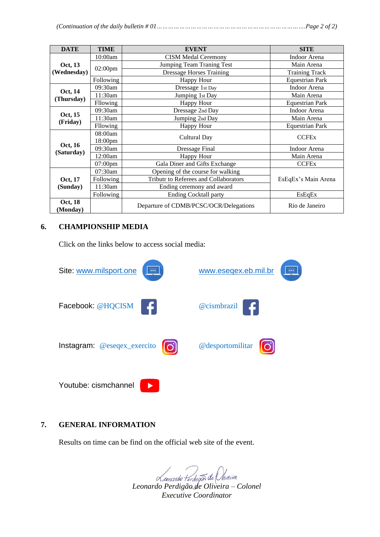|--|--|

| <b>DATE</b>         | <b>TIME</b>                            | <b>EVENT</b>                          | <b>SITE</b>            |  |
|---------------------|----------------------------------------|---------------------------------------|------------------------|--|
|                     | 10:00am                                | <b>CISM Medal Ceremony</b>            | Indoor Arena           |  |
| Oct, 13             |                                        | Jumping Team Traning Test             | Main Arena             |  |
| (Wednesday)         | 02:00pm                                | <b>Dressage Horses Training</b>       | <b>Training Track</b>  |  |
|                     | Following                              | <b>Happy Hour</b>                     | <b>Equestrian Park</b> |  |
| Oct, 14             | 09:30am                                | Dressage 1st Day                      | Indoor Arena           |  |
| (Thursday)          | 11:30am                                | Jumping 1st Day                       | Main Arena             |  |
|                     | Fllowing                               | <b>Happy Hour</b>                     | <b>Equestrian Park</b> |  |
| Oct, 15             | 09:30am                                | Dressage 2nd Day                      | Indoor Arena           |  |
| (Friday)            | 11:30am                                | Jumping 2nd Day                       | Main Arena             |  |
|                     | Fllowing                               | <b>Happy Hour</b>                     | <b>Equestrian Park</b> |  |
|                     | 08:00am                                | Cultural Day                          | <b>CCFEx</b>           |  |
| Oct, 16             | 18:00pm                                |                                       |                        |  |
| (Saturday)          | 09:30am                                | Dressage Final                        | Indoor Arena           |  |
|                     | 12:00am                                | <b>Happy Hour</b>                     | Main Arena             |  |
|                     | 07:00pm                                | Gala Diner and Gifts Exchange         | <b>CCFEx</b>           |  |
|                     | $07:30$ am                             | Opening of the course for walking     | EsEqEx's Main Arena    |  |
| Oct, 17             | Following                              | Tributr to Referees and Collaborators |                        |  |
| (Sunday)            | 11:30am                                | Ending ceremony and award             |                        |  |
|                     | Following                              | <b>Ending Cocktall party</b>          | EsEqEx                 |  |
| Oct, 18<br>(Monday) | Departure of CDMB/PCSC/OCR/Delegations |                                       | Rio de Janeiro         |  |

#### **6. CHAMPIONSHIP MEDIA**

Click on the links below to access social media:



#### **7. GENERAL INFORMATION**

Results on time can be find on the official web site of the event.

*Leonardo Perdigão de Oliveira – Colonel Executive Coordinator*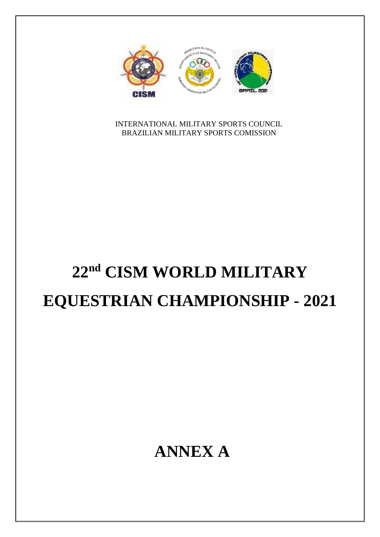

INTERNATIONAL MILITARY SPORTS COUNCIL BRAZILIAN MILITARY SPORTS COMISSION

## **22 nd CISM WORLD MILITARY EQUESTRIAN CHAMPIONSHIP - 2021**

### **ANNEX A**